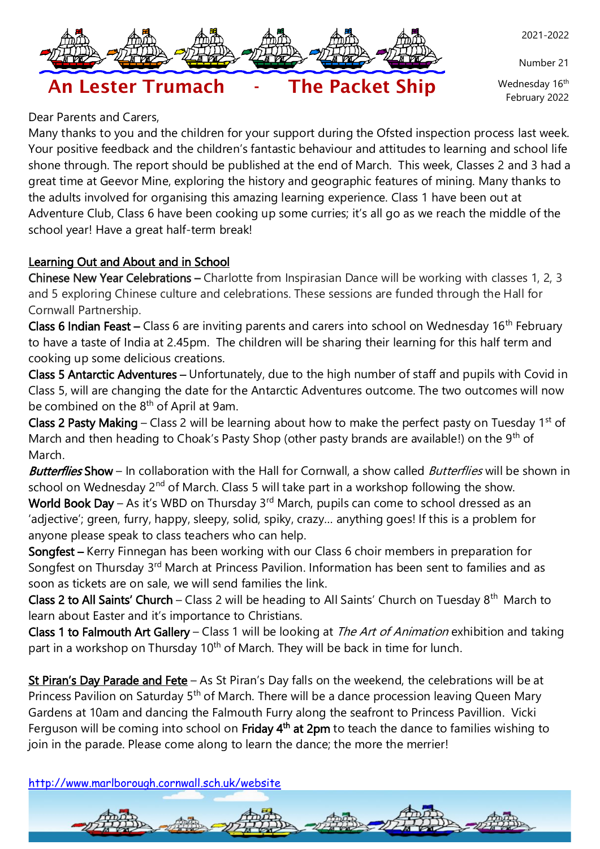

Number 21

Wednesday 16<sup>th</sup> February 2022

# An Lester Trumach - The Packet Ship

### Dear Parents and Carers,

Many thanks to you and the children for your support during the Ofsted inspection process last week. Your positive feedback and the children's fantastic behaviour and attitudes to learning and school life shone through. The report should be published at the end of March. This week, Classes 2 and 3 had a great time at Geevor Mine, exploring the history and geographic features of mining. Many thanks to the adults involved for organising this amazing learning experience. Class 1 have been out at Adventure Club, Class 6 have been cooking up some curries; it's all go as we reach the middle of the school year! Have a great half-term break!

#### Learning Out and About and in School

Chinese New Year Celebrations – Charlotte from Inspirasian Dance will be working with classes 1, 2, 3 and 5 exploring Chinese culture and celebrations. These sessions are funded through the Hall for Cornwall Partnership.

Class 6 Indian Feast – Class 6 are inviting parents and carers into school on Wednesday  $16<sup>th</sup>$  February to have a taste of India at 2.45pm. The children will be sharing their learning for this half term and cooking up some delicious creations.

Class 5 Antarctic Adventures – Unfortunately, due to the high number of staff and pupils with Covid in Class 5, will are changing the date for the Antarctic Adventures outcome. The two outcomes will now be combined on the 8<sup>th</sup> of April at 9am.

Class 2 Pasty Making – Class 2 will be learning about how to make the perfect pasty on Tuesday  $1<sup>st</sup>$  of March and then heading to Choak's Pasty Shop (other pasty brands are available!) on the 9<sup>th</sup> of March.

Butterflies Show – In collaboration with the Hall for Cornwall, a show called Butterflies will be shown in school on Wednesday 2<sup>nd</sup> of March. Class 5 will take part in a workshop following the show.

World Book Day – As it's WBD on Thursday  $3<sup>rd</sup>$  March, pupils can come to school dressed as an 'adjective'; green, furry, happy, sleepy, solid, spiky, crazy… anything goes! If this is a problem for anyone please speak to class teachers who can help.

Songfest – Kerry Finnegan has been working with our Class 6 choir members in preparation for Songfest on Thursday 3<sup>rd</sup> March at Princess Pavilion. Information has been sent to families and as soon as tickets are on sale, we will send families the link.

Class 2 to All Saints' Church - Class 2 will be heading to All Saints' Church on Tuesday 8<sup>th</sup> March to learn about Easter and it's importance to Christians.

Class 1 to Falmouth Art Gallery – Class 1 will be looking at The Art of Animation exhibition and taking part in a workshop on Thursday 10<sup>th</sup> of March. They will be back in time for lunch.

St Piran's Day Parade and Fete - As St Piran's Day falls on the weekend, the celebrations will be at Princess Pavilion on Saturday 5<sup>th</sup> of March. There will be a dance procession leaving Queen Mary Gardens at 10am and dancing the Falmouth Furry along the seafront to Princess Pavillion. Vicki Ferguson will be coming into school on Friday 4<sup>th</sup> at 2pm to teach the dance to families wishing to join in the parade. Please come along to learn the dance; the more the merrier!

<http://www.marlborough.cornwall.sch.uk/website>

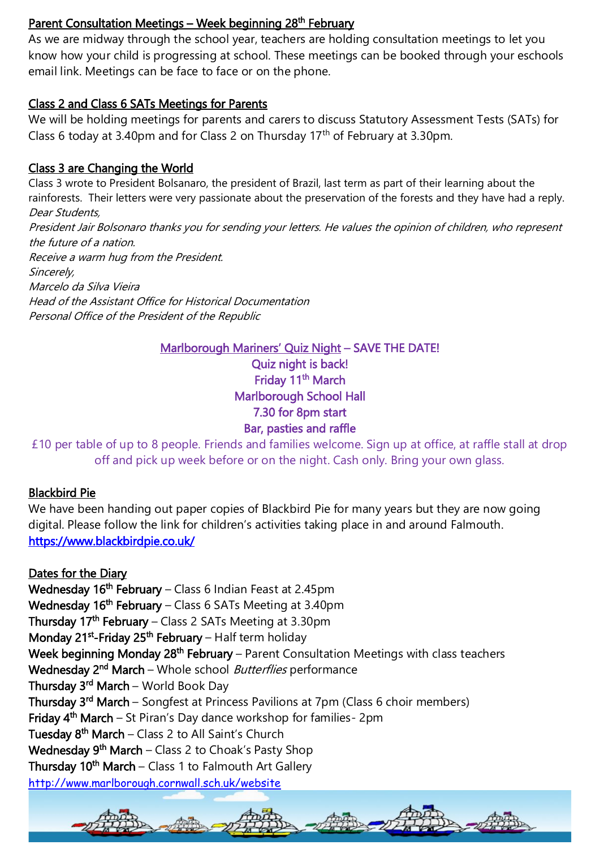#### <u> Parent Consultation Meetings – Week beginning 28<sup>th</sup> February</u>

As we are midway through the school year, teachers are holding consultation meetings to let you know how your child is progressing at school. These meetings can be booked through your eschools email link. Meetings can be face to face or on the phone.

#### Class 2 and Class 6 SATs Meetings for Parents

We will be holding meetings for parents and carers to discuss Statutory Assessment Tests (SATs) for Class 6 today at 3.40pm and for Class 2 on Thursday  $17<sup>th</sup>$  of February at 3.30pm.

#### Class 3 are Changing the World

Class 3 wrote to President Bolsanaro, the president of Brazil, last term as part of their learning about the rainforests. Their letters were very passionate about the preservation of the forests and they have had a reply. Dear Students, President Jair Bolsonaro thanks you for sending your letters. He values the opinion of children, who represent the future of a nation. Receive a warm hug from the President. Sincerely, Marcelo da Silva Vieira Head of the Assistant Office for Historical Documentation Personal Office of the President of the Republic

#### Marlborough Mariners' Quiz Night – SAVE THE DATE!

Quiz night is back! Friday 11<sup>th</sup> March Marlborough School Hall 7.30 for 8pm start Bar, pasties and raffle

£10 per table of up to 8 people. Friends and families welcome. Sign up at office, at raffle stall at drop off and pick up week before or on the night. Cash only. Bring your own glass.

#### Blackbird Pie

We have been handing out paper copies of Blackbird Pie for many years but they are now going digital. Please follow the link for children's activities taking place in and around Falmouth. <https://www.blackbirdpie.co.uk/>

<http://www.marlborough.cornwall.sch.uk/website> Dates for the Diary Wednesday 16<sup>th</sup> February – Class 6 Indian Feast at 2.45pm Wednesday 16<sup>th</sup> February – Class 6 SATs Meeting at 3.40pm Thursday 17<sup>th</sup> February – Class 2 SATs Meeting at 3.30pm Monday 21<sup>st</sup>-Friday 25<sup>th</sup> February – Half term holiday Week beginning Monday 28<sup>th</sup> February – Parent Consultation Meetings with class teachers Wednesday 2<sup>nd</sup> March – Whole school *Butterflies* performance **Thursday 3<sup>rd</sup> March –** World Book Day Thursday 3<sup>rd</sup> March – Songfest at Princess Pavilions at 7pm (Class 6 choir members) Friday 4<sup>th</sup> March – St Piran's Day dance workshop for families- 2pm Tuesday 8<sup>th</sup> March – Class 2 to All Saint's Church Wednesday 9<sup>th</sup> March – Class 2 to Choak's Pasty Shop Thursday 10<sup>th</sup> March – Class 1 to Falmouth Art Gallery